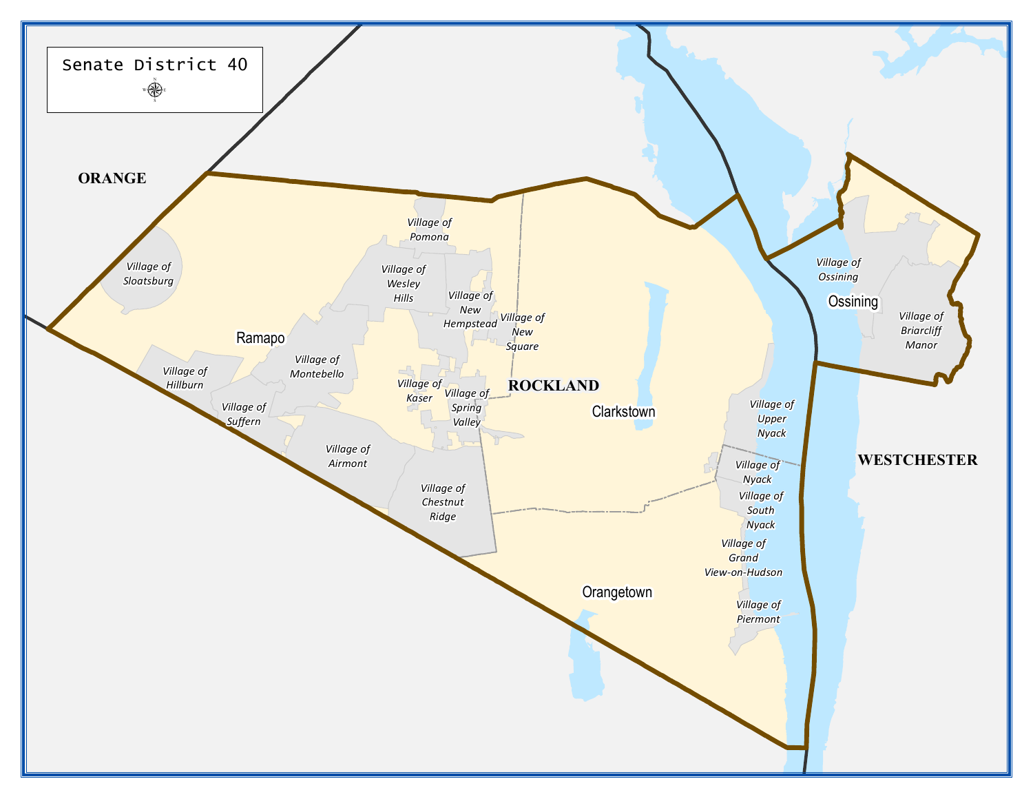